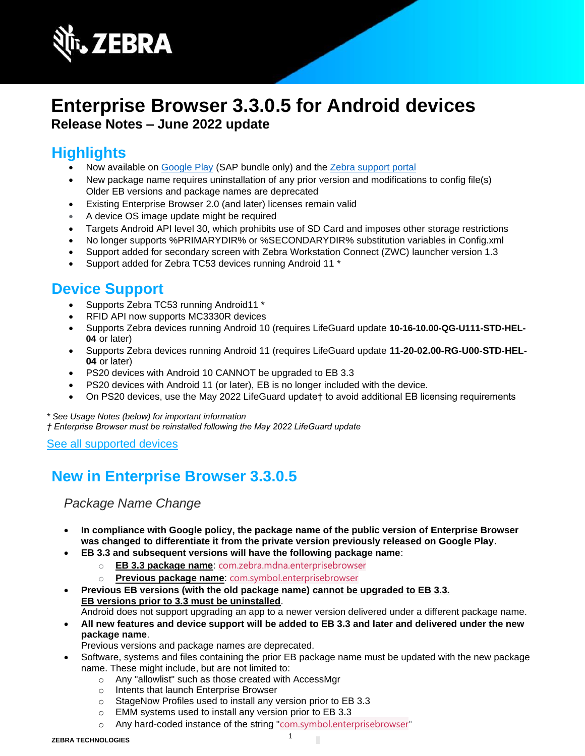

# **Enterprise Browser 3.3.0.5 for Android devices Release Notes – June 2022 update**

# **Highlights**

- Now available on [Google Play](https://play.google.com/store/apps/developer?id=Zebra+Technologies&hl=en_US&gl=US) (SAP bundle only) and the Zebra [support portal](https://www.zebra.com/us/en/support-downloads/software/developer-tools/enterprise-browser.html)
- New package name requires uninstallation of any prior version and modifications to config file(s) Older EB versions and package names are deprecated
- Existing Enterprise Browser 2.0 (and later) licenses remain valid
- A device OS image update might be required
- Targets Android API level 30, which prohibits use of SD Card and imposes other storage restrictions
- No longer supports %PRIMARYDIR% or %SECONDARYDIR% substitution variables in Config.xml
- Support added for secondary screen with Zebra Workstation Connect (ZWC) launcher version 1.3
- Support added for Zebra TC53 devices running Android 11 \*

### **Device Support**

- Supports Zebra TC53 running Android11 \*
- RFID API now supports MC3330R devices
- Supports Zebra devices running Android 10 (requires LifeGuard update **10-16-10.00-QG-U111-STD-HEL-04** or later)
- Supports Zebra devices running Android 11 (requires LifeGuard update **11-20-02.00-RG-U00-STD-HEL-04** or later)
- PS20 devices with Android 10 CANNOT be upgraded to EB 3.3
- PS20 devices with Android 11 (or later), EB is no longer included with the device.
- On PS20 devices, use the May 2022 LifeGuard update† to avoid additional EB licensing requirements

*\* See Usage Notes (below) for important information † Enterprise Browser must be reinstalled following the May 2022 LifeGuard update*

#### [See all supported devices](https://www.zebra.com/us/en/support-downloads/software/developer-tools/enterprise-browser.html#downloadlistitem_2af)

# **New in Enterprise Browser 3.3.0.5**

*Package Name Change* 

- **In compliance with Google policy, the package name of the public version of Enterprise Browser was changed to differentiate it from the private version previously released on Google Play.**
- **EB 3.3 and subsequent versions will have the following package name**:
	- o **EB 3.3 package name**: com.zebra.mdna.enterprisebrowser
	- o **Previous package name**: com.symbol.enterprisebrowser
- **Previous EB versions (with the old package name) cannot be upgraded to EB 3.3. EB versions prior to 3.3 must be uninstalled**.

Android does not support upgrading an app to a newer version delivered under a different package name.

- **All new features and device support will be added to EB 3.3 and later and delivered under the new package name**.
	- Previous versions and package names are deprecated.
- Software, systems and files containing the prior EB package name must be updated with the new package name. These might include, but are not limited to:
	- o Any "allowlist" such as those created with AccessMgr
	- o Intents that launch Enterprise Browser
	- o StageNow Profiles used to install any version prior to EB 3.3
	- o EMM systems used to install any version prior to EB 3.3
	- o Any hard-coded instance of the string "com.symbol.enterprisebrowser"

П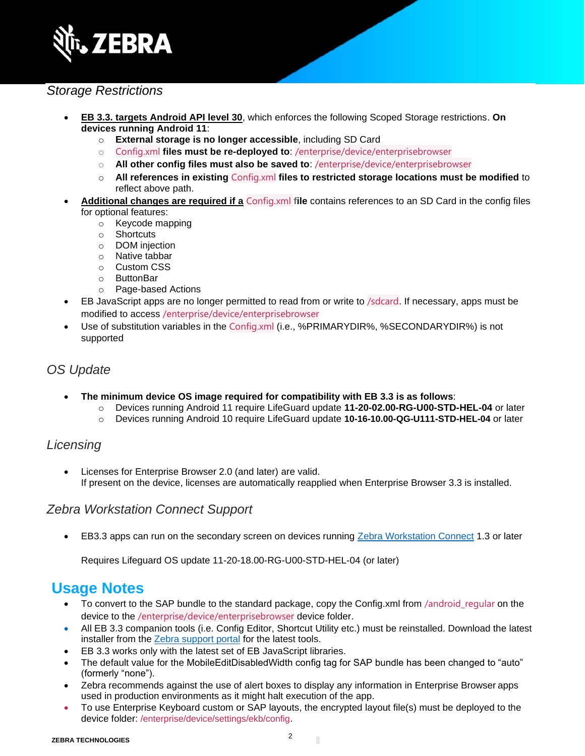

### *Storage Restrictions*

- **EB 3.3. targets Android API level 30**, which enforces the following Scoped Storage restrictions. **On devices running Android 11**:
	- o **External storage is no longer accessible**, including SD Card
	- o Config.xml **files must be re-deployed to**: /enterprise/device/enterprisebrowser
	- o **All other config files must also be saved to**: /enterprise/device/enterprisebrowser
	- o **All references in existing** Config.xml **files to restricted storage locations must be modified** to reflect above path.
- **Additional changes are required if a** Config.xml **file** contains references to an SD Card in the config files for optional features:
	- o Keycode mapping
	- o Shortcuts
	- o DOM injection
	- o Native tabbar
	- o Custom CSS
	- o ButtonBar
	- o Page-based Actions
- EB JavaScript apps are no longer permitted to read from or write to /sdcard. If necessary, apps must be modified to access /enterprise/device/enterprisebrowser
- Use of substitution variables in the Config.xml (i.e., %PRIMARYDIR%, %SECONDARYDIR%) is not supported

#### *OS Update*

- **The minimum device OS image required for compatibility with EB 3.3 is as follows**:
	- o Devices running Android 11 require LifeGuard update **11-20-02.00-RG-U00-STD-HEL-04** or later
	- o Devices running Android 10 require LifeGuard update **10-16-10.00-QG-U111-STD-HEL-04** or later

#### *Licensing*

• Licenses for Enterprise Browser 2.0 (and later) are valid. If present on the device, licenses are automatically reapplied when Enterprise Browser 3.3 is installed.

#### *Zebra Workstation Connect Support*

• EB3.3 apps can run on the secondary screen on devices running [Zebra Workstation Connect](https://techdocs.zebra.com/zwc/1-3/about/) 1.3 or later

Requires Lifeguard OS update 11-20-18.00-RG-U00-STD-HEL-04 (or later)

## **Usage Notes**

- To convert to the SAP bundle to the standard package, copy the Config.xml from /android\_regular on the device to the /enterprise/device/enterprisebrowser device folder.
- All EB 3.3 companion tools (i.e. Config Editor, Shortcut Utility etc.) must be reinstalled. Download the latest installer from the [Zebra support portal](https://www.zebra.com/us/en/support-downloads/software/developer-tools/enterprise-browser.html) for the latest tools.
- EB 3.3 works only with the latest set of EB JavaScript libraries.
- The default value for the MobileEditDisabledWidth config tag for SAP bundle has been changed to "auto" (formerly "none").
- Zebra recommends against the use of alert boxes to display any information in Enterprise Browser apps used in production environments as it might halt execution of the app.
- To use Enterprise Keyboard custom or SAP layouts, the encrypted layout file(s) must be deployed to the device folder: /enterprise/device/settings/ekb/config.

П